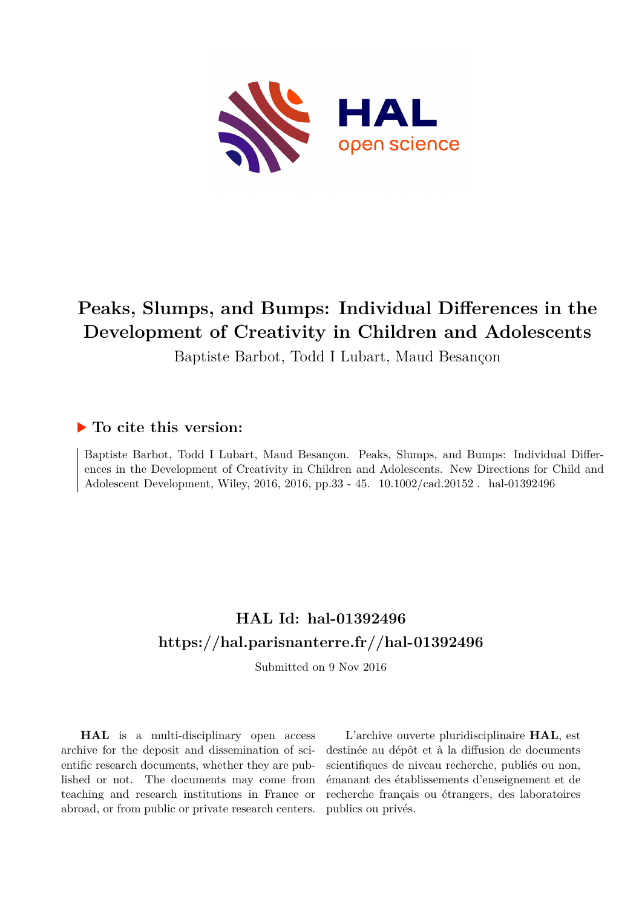

# **Peaks, Slumps, and Bumps: Individual Differences in the Development of Creativity in Children and Adolescents**

Baptiste Barbot, Todd I Lubart, Maud Besançon

# **To cite this version:**

Baptiste Barbot, Todd I Lubart, Maud Besançon. Peaks, Slumps, and Bumps: Individual Differences in the Development of Creativity in Children and Adolescents. New Directions for Child and Adolescent Development, Wiley, 2016, 2016, pp.33 - 45. 10.1002/cad.20152. hal-01392496

# **HAL Id: hal-01392496 <https://hal.parisnanterre.fr//hal-01392496>**

Submitted on 9 Nov 2016

**HAL** is a multi-disciplinary open access archive for the deposit and dissemination of scientific research documents, whether they are published or not. The documents may come from teaching and research institutions in France or abroad, or from public or private research centers.

L'archive ouverte pluridisciplinaire **HAL**, est destinée au dépôt et à la diffusion de documents scientifiques de niveau recherche, publiés ou non, émanant des établissements d'enseignement et de recherche français ou étrangers, des laboratoires publics ou privés.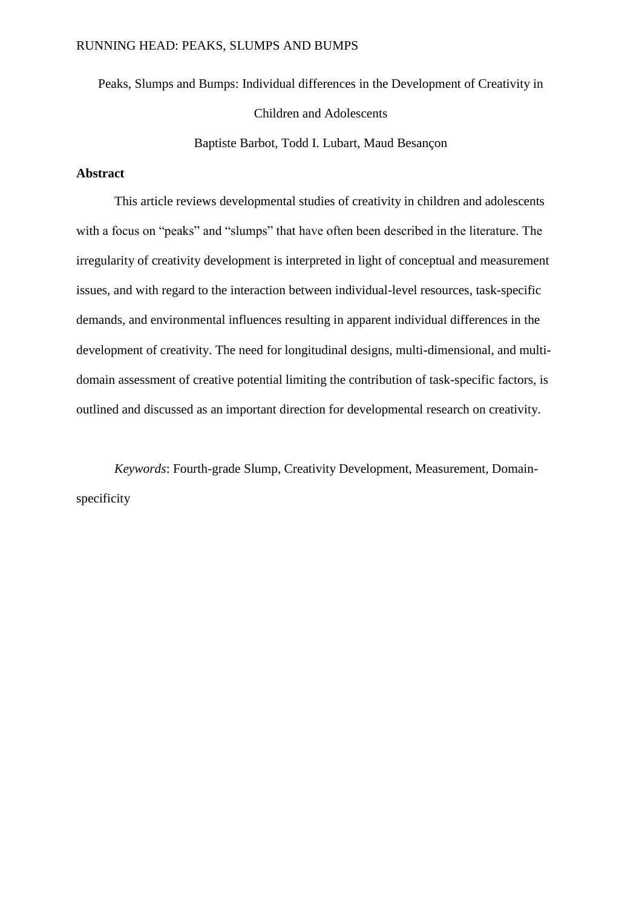Peaks, Slumps and Bumps: Individual differences in the Development of Creativity in Children and Adolescents

Baptiste Barbot, Todd I. Lubart, Maud Besançon

# **Abstract**

This article reviews developmental studies of creativity in children and adolescents with a focus on "peaks" and "slumps" that have often been described in the literature. The irregularity of creativity development is interpreted in light of conceptual and measurement issues, and with regard to the interaction between individual-level resources, task-specific demands, and environmental influences resulting in apparent individual differences in the development of creativity. The need for longitudinal designs, multi-dimensional, and multidomain assessment of creative potential limiting the contribution of task-specific factors, is outlined and discussed as an important direction for developmental research on creativity.

*Keywords*: Fourth-grade Slump, Creativity Development, Measurement, Domainspecificity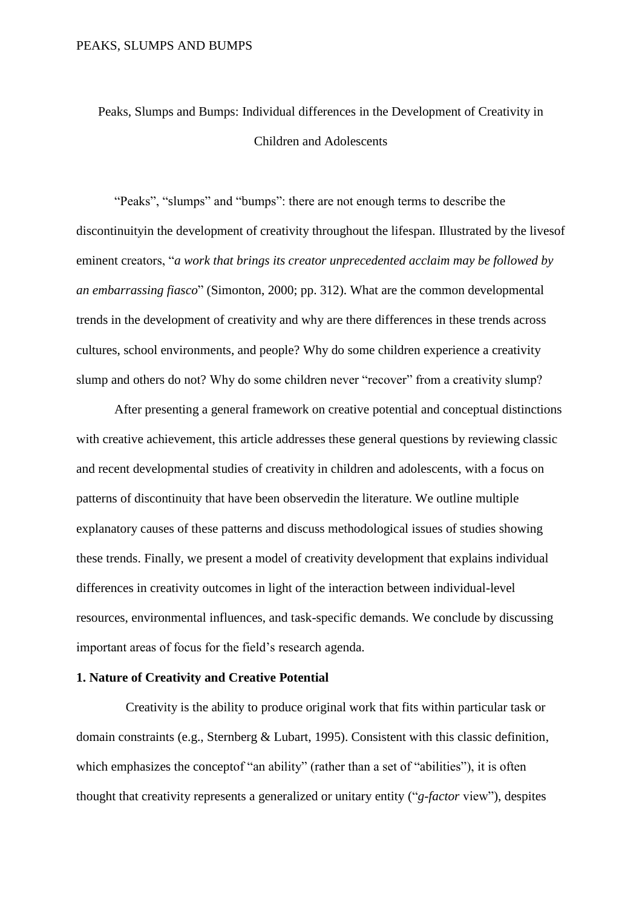Peaks, Slumps and Bumps: Individual differences in the Development of Creativity in Children and Adolescents

"Peaks", "slumps" and "bumps": there are not enough terms to describe the discontinuityin the development of creativity throughout the lifespan. Illustrated by the livesof eminent creators, "*a work that brings its creator unprecedented acclaim may be followed by an embarrassing fiasco*" (Simonton, 2000; pp. 312). What are the common developmental trends in the development of creativity and why are there differences in these trends across cultures, school environments, and people? Why do some children experience a creativity slump and others do not? Why do some children never "recover" from a creativity slump?

After presenting a general framework on creative potential and conceptual distinctions with creative achievement, this article addresses these general questions by reviewing classic and recent developmental studies of creativity in children and adolescents, with a focus on patterns of discontinuity that have been observedin the literature. We outline multiple explanatory causes of these patterns and discuss methodological issues of studies showing these trends. Finally, we present a model of creativity development that explains individual differences in creativity outcomes in light of the interaction between individual-level resources, environmental influences, and task-specific demands. We conclude by discussing important areas of focus for the field's research agenda.

#### **1. Nature of Creativity and Creative Potential**

Creativity is the ability to produce original work that fits within particular task or domain constraints (e.g., Sternberg & Lubart, 1995). Consistent with this classic definition, which emphasizes the conceptof "an ability" (rather than a set of "abilities"), it is often thought that creativity represents a generalized or unitary entity ("*g-factor* view"), despites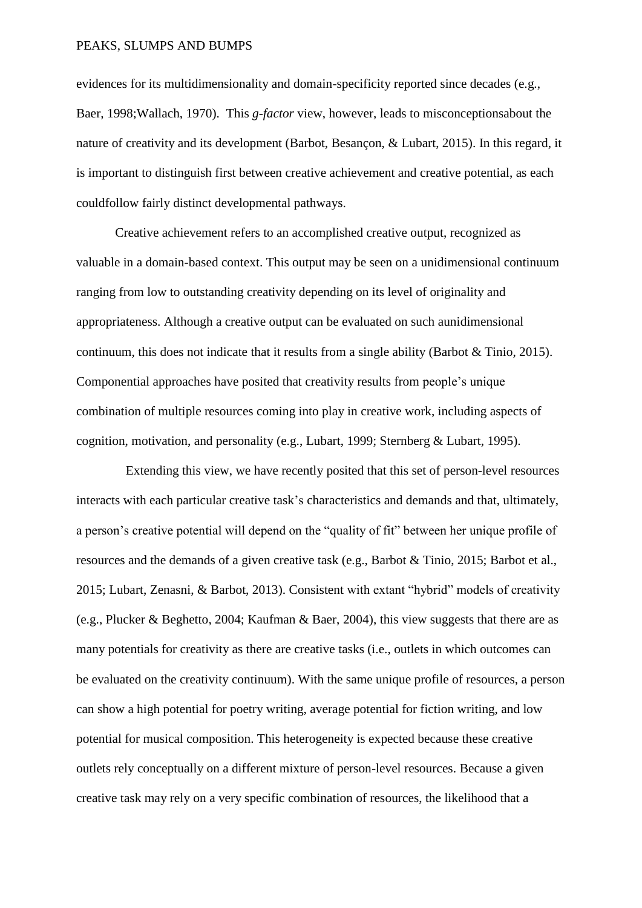evidences for its multidimensionality and domain-specificity reported since decades (e.g., Baer, 1998;Wallach, 1970). This *g-factor* view, however, leads to misconceptionsabout the nature of creativity and its development (Barbot, Besançon, & Lubart, 2015). In this regard, it is important to distinguish first between creative achievement and creative potential, as each couldfollow fairly distinct developmental pathways.

Creative achievement refers to an accomplished creative output, recognized as valuable in a domain-based context. This output may be seen on a unidimensional continuum ranging from low to outstanding creativity depending on its level of originality and appropriateness. Although a creative output can be evaluated on such aunidimensional continuum, this does not indicate that it results from a single ability (Barbot & Tinio, 2015). Componential approaches have posited that creativity results from people's unique combination of multiple resources coming into play in creative work, including aspects of cognition, motivation, and personality (e.g., Lubart, 1999; Sternberg & Lubart, 1995).

Extending this view, we have recently posited that this set of person-level resources interacts with each particular creative task's characteristics and demands and that, ultimately, a person's creative potential will depend on the "quality of fit" between her unique profile of resources and the demands of a given creative task (e.g., Barbot & Tinio, 2015; Barbot et al., 2015; Lubart, Zenasni, & Barbot, 2013). Consistent with extant "hybrid" models of creativity (e.g., Plucker & Beghetto, 2004; Kaufman & Baer, 2004), this view suggests that there are as many potentials for creativity as there are creative tasks (i.e., outlets in which outcomes can be evaluated on the creativity continuum). With the same unique profile of resources, a person can show a high potential for poetry writing, average potential for fiction writing, and low potential for musical composition. This heterogeneity is expected because these creative outlets rely conceptually on a different mixture of person-level resources. Because a given creative task may rely on a very specific combination of resources, the likelihood that a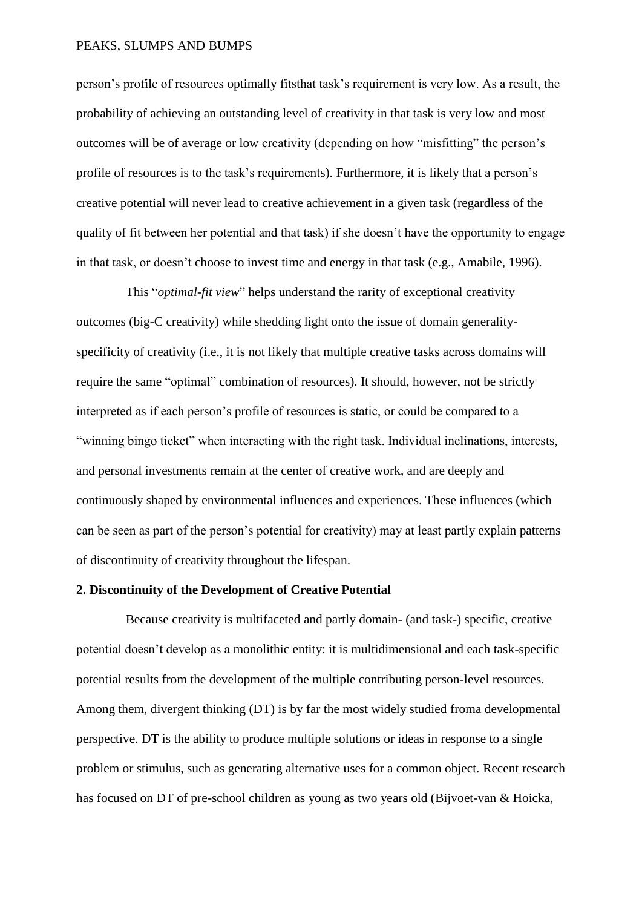person's profile of resources optimally fitsthat task's requirement is very low. As a result, the probability of achieving an outstanding level of creativity in that task is very low and most outcomes will be of average or low creativity (depending on how "misfitting" the person's profile of resources is to the task's requirements). Furthermore, it is likely that a person's creative potential will never lead to creative achievement in a given task (regardless of the quality of fit between her potential and that task) if she doesn't have the opportunity to engage in that task, or doesn't choose to invest time and energy in that task (e.g., Amabile, 1996).

This "*optimal-fit view*" helps understand the rarity of exceptional creativity outcomes (big-C creativity) while shedding light onto the issue of domain generalityspecificity of creativity (i.e., it is not likely that multiple creative tasks across domains will require the same "optimal" combination of resources). It should, however, not be strictly interpreted as if each person's profile of resources is static, or could be compared to a "winning bingo ticket" when interacting with the right task. Individual inclinations, interests, and personal investments remain at the center of creative work, and are deeply and continuously shaped by environmental influences and experiences. These influences (which can be seen as part of the person's potential for creativity) may at least partly explain patterns of discontinuity of creativity throughout the lifespan.

# **2. Discontinuity of the Development of Creative Potential**

Because creativity is multifaceted and partly domain- (and task-) specific, creative potential doesn't develop as a monolithic entity: it is multidimensional and each task-specific potential results from the development of the multiple contributing person-level resources. Among them, divergent thinking (DT) is by far the most widely studied froma developmental perspective. DT is the ability to produce multiple solutions or ideas in response to a single problem or stimulus, such as generating alternative uses for a common object. Recent research has focused on DT of pre-school children as young as two years old (Bijvoet-van & Hoicka,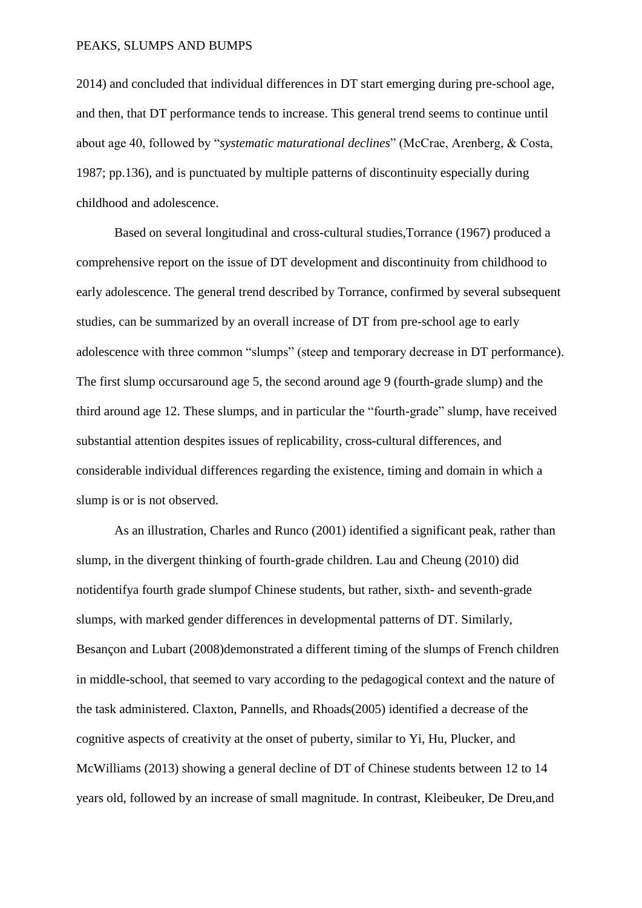2014) and concluded that individual differences in DT start emerging during pre-school age, and then, that DT performance tends to increase. This general trend seems to continue until about age 40, followed by "*systematic maturational declines*" (McCrae, Arenberg, & Costa, 1987; pp.136), and is punctuated by multiple patterns of discontinuity especially during childhood and adolescence.

Based on several longitudinal and cross-cultural studies,Torrance (1967) produced a comprehensive report on the issue of DT development and discontinuity from childhood to early adolescence. The general trend described by Torrance, confirmed by several subsequent studies, can be summarized by an overall increase of DT from pre-school age to early adolescence with three common "slumps" (steep and temporary decrease in DT performance). The first slump occursaround age 5, the second around age 9 (fourth-grade slump) and the third around age 12. These slumps, and in particular the "fourth-grade" slump, have received substantial attention despites issues of replicability, cross-cultural differences, and considerable individual differences regarding the existence, timing and domain in which a slump is or is not observed.

As an illustration, Charles and Runco (2001) identified a significant peak, rather than slump, in the divergent thinking of fourth-grade children. Lau and Cheung (2010) did notidentifya fourth grade slumpof Chinese students, but rather, sixth- and seventh-grade slumps, with marked gender differences in developmental patterns of DT. Similarly, Besançon and Lubart (2008)demonstrated a different timing of the slumps of French children in middle-school, that seemed to vary according to the pedagogical context and the nature of the task administered. Claxton, Pannells, and Rhoads(2005) identified a decrease of the cognitive aspects of creativity at the onset of puberty, similar to Yi, Hu, Plucker, and McWilliams (2013) showing a general decline of DT of Chinese students between 12 to 14 years old, followed by an increase of small magnitude. In contrast, Kleibeuker, De Dreu,and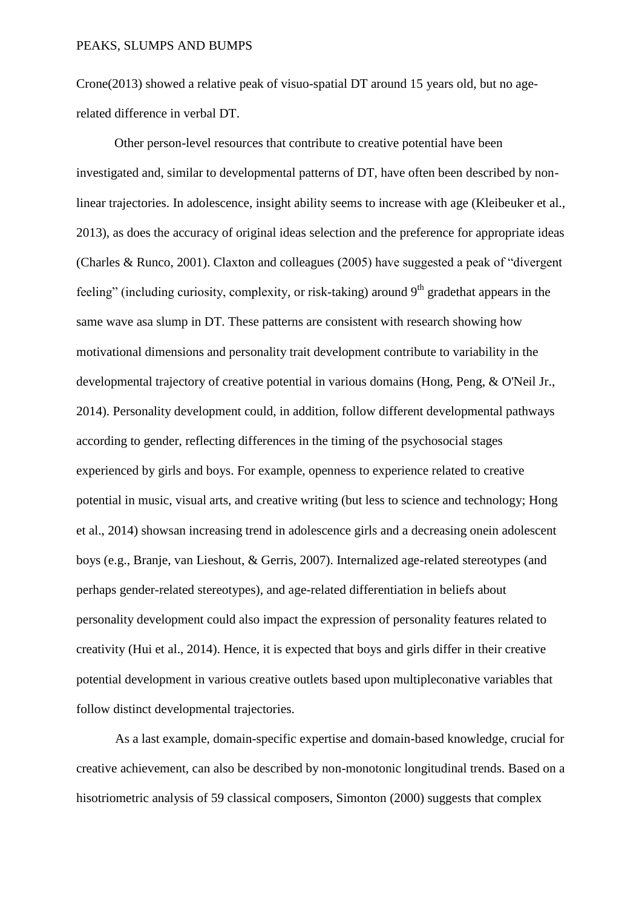Crone(2013) showed a relative peak of visuo-spatial DT around 15 years old, but no agerelated difference in verbal DT.

Other person-level resources that contribute to creative potential have been investigated and, similar to developmental patterns of DT, have often been described by nonlinear trajectories. In adolescence, insight ability seems to increase with age (Kleibeuker et al., 2013), as does the accuracy of original ideas selection and the preference for appropriate ideas (Charles & Runco, 2001). Claxton and colleagues (2005) have suggested a peak of "divergent feeling" (including curiosity, complexity, or risk-taking) around  $9<sup>th</sup>$  gradethat appears in the same wave asa slump in DT. These patterns are consistent with research showing how motivational dimensions and personality trait development contribute to variability in the developmental trajectory of creative potential in various domains (Hong, Peng, & O'Neil Jr., 2014). Personality development could, in addition, follow different developmental pathways according to gender, reflecting differences in the timing of the psychosocial stages experienced by girls and boys. For example, openness to experience related to creative potential in music, visual arts, and creative writing (but less to science and technology; Hong et al., 2014) showsan increasing trend in adolescence girls and a decreasing onein adolescent boys (e.g., Branje, van Lieshout, & Gerris, 2007). Internalized age-related stereotypes (and perhaps gender-related stereotypes), and age-related differentiation in beliefs about personality development could also impact the expression of personality features related to creativity (Hui et al., 2014). Hence, it is expected that boys and girls differ in their creative potential development in various creative outlets based upon multipleconative variables that follow distinct developmental trajectories.

As a last example, domain-specific expertise and domain-based knowledge, crucial for creative achievement, can also be described by non-monotonic longitudinal trends. Based on a hisotriometric analysis of 59 classical composers, Simonton (2000) suggests that complex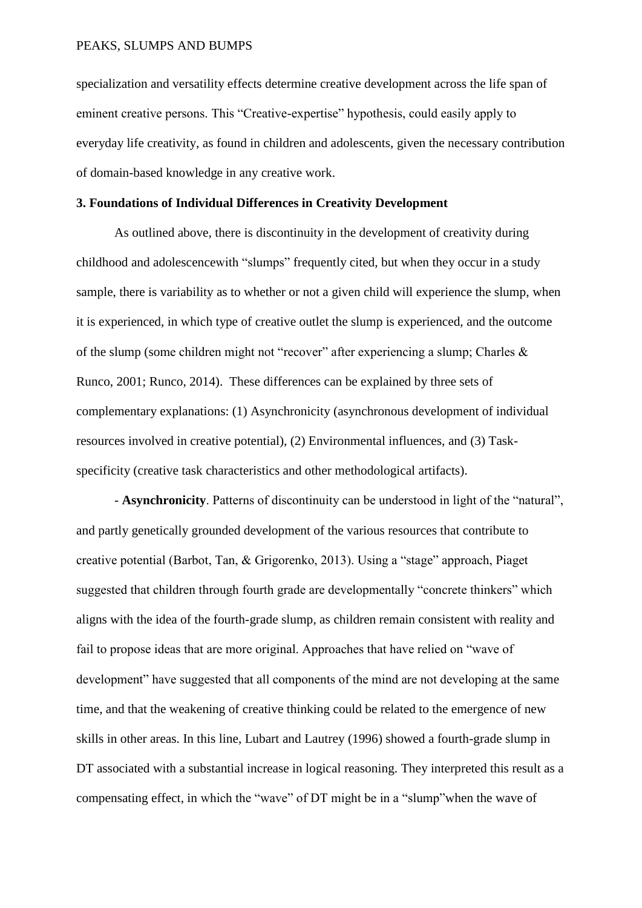specialization and versatility effects determine creative development across the life span of eminent creative persons. This "Creative-expertise" hypothesis, could easily apply to everyday life creativity, as found in children and adolescents, given the necessary contribution of domain-based knowledge in any creative work.

#### **3. Foundations of Individual Differences in Creativity Development**

As outlined above, there is discontinuity in the development of creativity during childhood and adolescencewith "slumps" frequently cited, but when they occur in a study sample, there is variability as to whether or not a given child will experience the slump, when it is experienced, in which type of creative outlet the slump is experienced, and the outcome of the slump (some children might not "recover" after experiencing a slump; Charles & Runco, 2001; Runco, 2014). These differences can be explained by three sets of complementary explanations: (1) Asynchronicity (asynchronous development of individual resources involved in creative potential), (2) Environmental influences, and (3) Taskspecificity (creative task characteristics and other methodological artifacts).

- **Asynchronicity**. Patterns of discontinuity can be understood in light of the "natural", and partly genetically grounded development of the various resources that contribute to creative potential (Barbot, Tan, & Grigorenko, 2013). Using a "stage" approach, Piaget suggested that children through fourth grade are developmentally "concrete thinkers" which aligns with the idea of the fourth-grade slump, as children remain consistent with reality and fail to propose ideas that are more original. Approaches that have relied on "wave of development" have suggested that all components of the mind are not developing at the same time, and that the weakening of creative thinking could be related to the emergence of new skills in other areas. In this line, Lubart and Lautrey (1996) showed a fourth-grade slump in DT associated with a substantial increase in logical reasoning. They interpreted this result as a compensating effect, in which the "wave" of DT might be in a "slump"when the wave of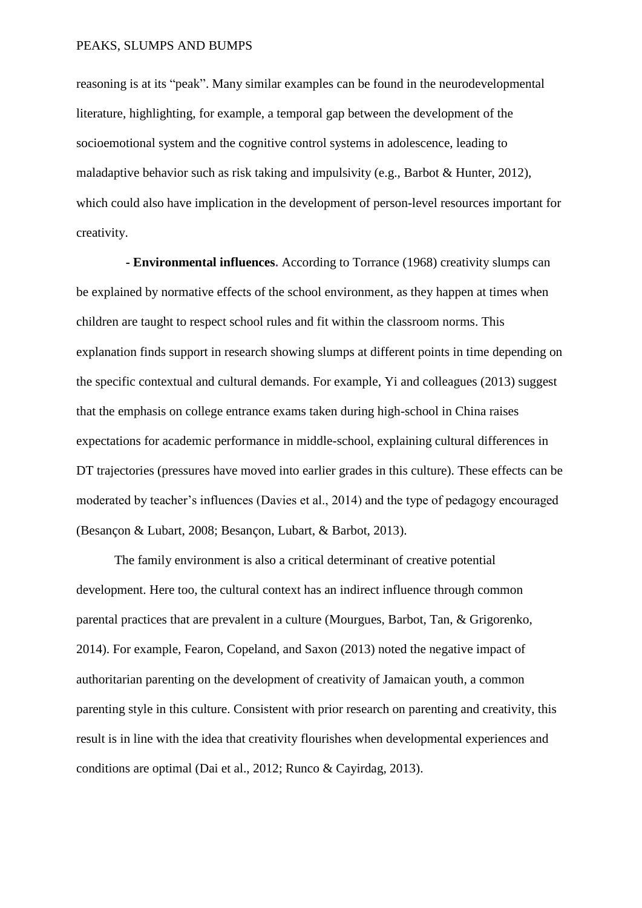reasoning is at its "peak". Many similar examples can be found in the neurodevelopmental literature, highlighting, for example, a temporal gap between the development of the socioemotional system and the cognitive control systems in adolescence, leading to maladaptive behavior such as risk taking and impulsivity (e.g., Barbot & Hunter, 2012), which could also have implication in the development of person-level resources important for creativity.

**- Environmental influences.** According to Torrance (1968) creativity slumps can be explained by normative effects of the school environment, as they happen at times when children are taught to respect school rules and fit within the classroom norms. This explanation finds support in research showing slumps at different points in time depending on the specific contextual and cultural demands. For example, Yi and colleagues (2013) suggest that the emphasis on college entrance exams taken during high-school in China raises expectations for academic performance in middle-school, explaining cultural differences in DT trajectories (pressures have moved into earlier grades in this culture). These effects can be moderated by teacher's influences (Davies et al., 2014) and the type of pedagogy encouraged (Besançon & Lubart, 2008; Besançon, Lubart, & Barbot, 2013).

The family environment is also a critical determinant of creative potential development. Here too, the cultural context has an indirect influence through common parental practices that are prevalent in a culture (Mourgues, Barbot, Tan, & Grigorenko, 2014). For example, Fearon, Copeland, and Saxon (2013) noted the negative impact of authoritarian parenting on the development of creativity of Jamaican youth, a common parenting style in this culture. Consistent with prior research on parenting and creativity, this result is in line with the idea that creativity flourishes when developmental experiences and conditions are optimal (Dai et al., 2012; Runco & Cayirdag, 2013).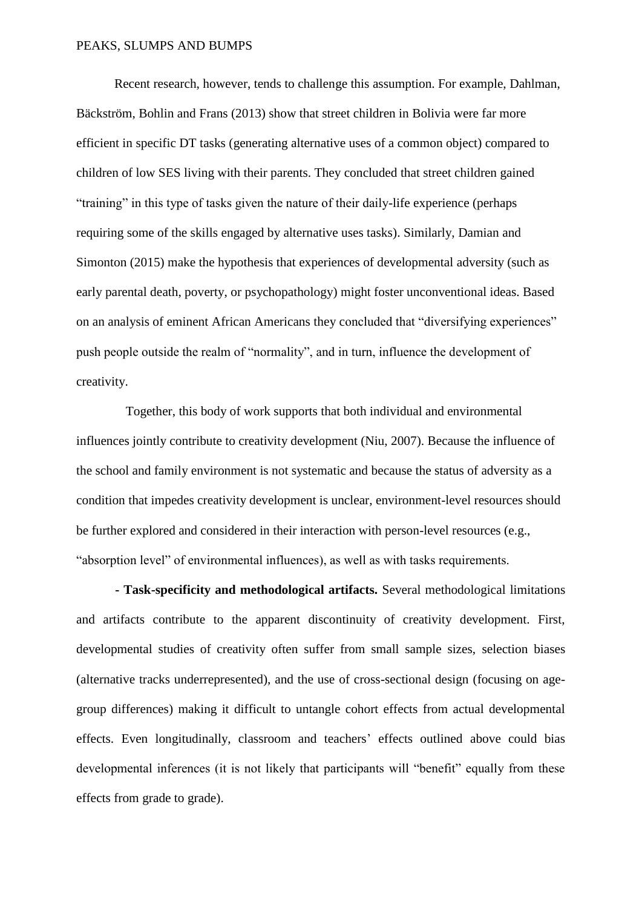Recent research, however, tends to challenge this assumption. For example, Dahlman, Bäckström, Bohlin and Frans (2013) show that street children in Bolivia were far more efficient in specific DT tasks (generating alternative uses of a common object) compared to children of low SES living with their parents. They concluded that street children gained "training" in this type of tasks given the nature of their daily-life experience (perhaps requiring some of the skills engaged by alternative uses tasks). Similarly, Damian and Simonton (2015) make the hypothesis that experiences of developmental adversity (such as early parental death, poverty, or psychopathology) might foster unconventional ideas. Based on an analysis of eminent African Americans they concluded that "diversifying experiences" push people outside the realm of "normality", and in turn, influence the development of creativity.

Together, this body of work supports that both individual and environmental influences jointly contribute to creativity development (Niu, 2007). Because the influence of the school and family environment is not systematic and because the status of adversity as a condition that impedes creativity development is unclear, environment-level resources should be further explored and considered in their interaction with person-level resources (e.g., "absorption level" of environmental influences), as well as with tasks requirements.

**- Task-specificity and methodological artifacts.** Several methodological limitations and artifacts contribute to the apparent discontinuity of creativity development. First, developmental studies of creativity often suffer from small sample sizes, selection biases (alternative tracks underrepresented), and the use of cross-sectional design (focusing on agegroup differences) making it difficult to untangle cohort effects from actual developmental effects. Even longitudinally, classroom and teachers' effects outlined above could bias developmental inferences (it is not likely that participants will "benefit" equally from these effects from grade to grade).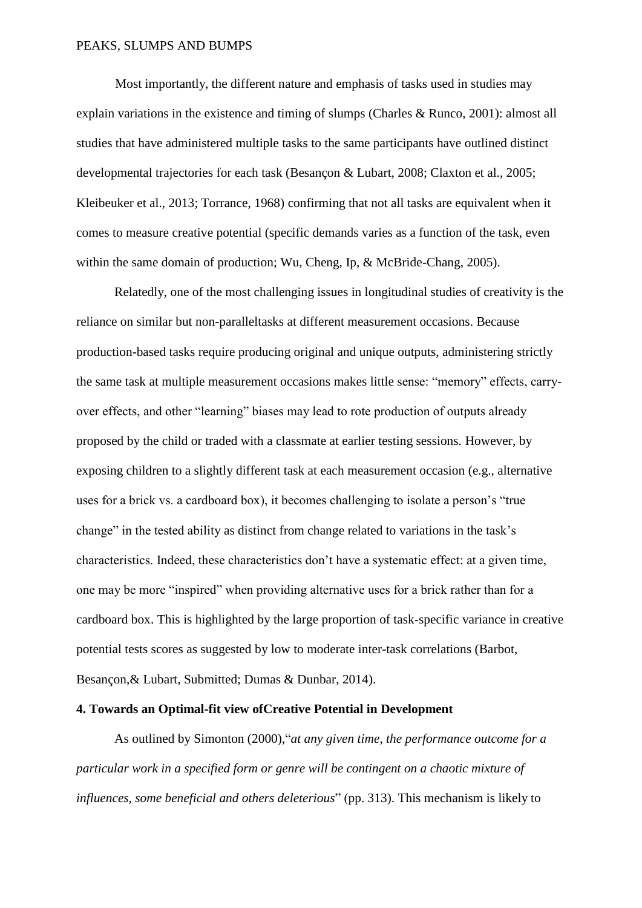Most importantly, the different nature and emphasis of tasks used in studies may explain variations in the existence and timing of slumps (Charles & Runco, 2001): almost all studies that have administered multiple tasks to the same participants have outlined distinct developmental trajectories for each task (Besançon & Lubart, 2008; Claxton et al., 2005; Kleibeuker et al., 2013; Torrance, 1968) confirming that not all tasks are equivalent when it comes to measure creative potential (specific demands varies as a function of the task, even within the same domain of production; Wu, Cheng, Ip, & McBride-Chang, 2005).

Relatedly, one of the most challenging issues in longitudinal studies of creativity is the reliance on similar but non-paralleltasks at different measurement occasions. Because production-based tasks require producing original and unique outputs, administering strictly the same task at multiple measurement occasions makes little sense: "memory" effects, carryover effects, and other "learning" biases may lead to rote production of outputs already proposed by the child or traded with a classmate at earlier testing sessions. However, by exposing children to a slightly different task at each measurement occasion (e.g., alternative uses for a brick vs. a cardboard box), it becomes challenging to isolate a person's "true change" in the tested ability as distinct from change related to variations in the task's characteristics. Indeed, these characteristics don't have a systematic effect: at a given time, one may be more "inspired" when providing alternative uses for a brick rather than for a cardboard box. This is highlighted by the large proportion of task-specific variance in creative potential tests scores as suggested by low to moderate inter-task correlations (Barbot, Besançon,& Lubart, Submitted; Dumas & Dunbar, 2014).

#### **4. Towards an Optimal-fit view ofCreative Potential in Development**

As outlined by Simonton (2000),"*at any given time, the performance outcome for a particular work in a specified form or genre will be contingent on a chaotic mixture of influences, some beneficial and others deleterious*" (pp. 313). This mechanism is likely to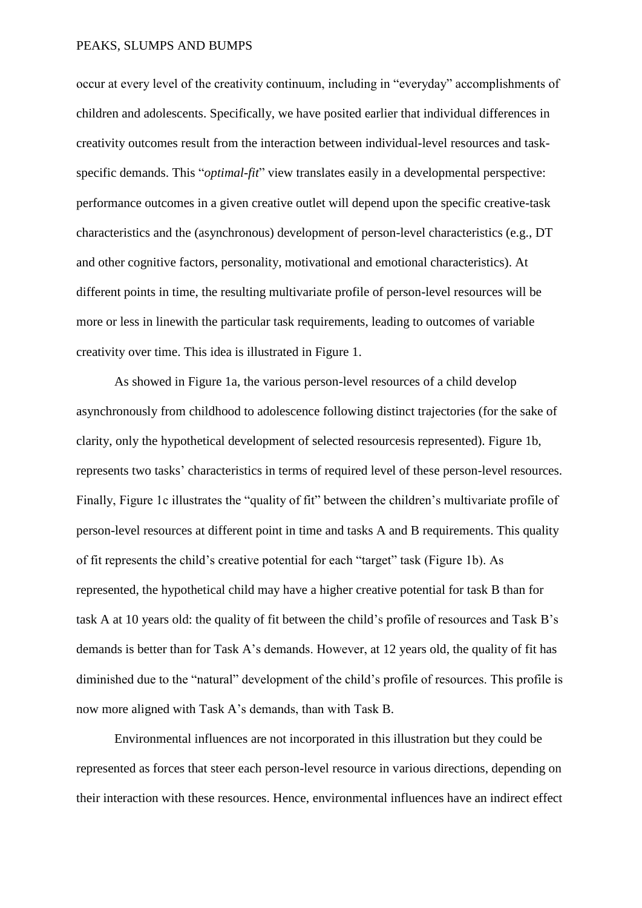occur at every level of the creativity continuum, including in "everyday" accomplishments of children and adolescents. Specifically, we have posited earlier that individual differences in creativity outcomes result from the interaction between individual-level resources and taskspecific demands. This "*optimal-fit*" view translates easily in a developmental perspective: performance outcomes in a given creative outlet will depend upon the specific creative-task characteristics and the (asynchronous) development of person-level characteristics (e.g., DT and other cognitive factors, personality, motivational and emotional characteristics). At different points in time, the resulting multivariate profile of person-level resources will be more or less in linewith the particular task requirements, leading to outcomes of variable creativity over time. This idea is illustrated in Figure 1.

As showed in Figure 1a, the various person-level resources of a child develop asynchronously from childhood to adolescence following distinct trajectories (for the sake of clarity, only the hypothetical development of selected resourcesis represented). Figure 1b, represents two tasks' characteristics in terms of required level of these person-level resources. Finally, Figure 1c illustrates the "quality of fit" between the children's multivariate profile of person-level resources at different point in time and tasks A and B requirements. This quality of fit represents the child's creative potential for each "target" task (Figure 1b). As represented, the hypothetical child may have a higher creative potential for task B than for task A at 10 years old: the quality of fit between the child's profile of resources and Task B's demands is better than for Task A's demands. However, at 12 years old, the quality of fit has diminished due to the "natural" development of the child's profile of resources. This profile is now more aligned with Task A's demands, than with Task B.

Environmental influences are not incorporated in this illustration but they could be represented as forces that steer each person-level resource in various directions, depending on their interaction with these resources. Hence, environmental influences have an indirect effect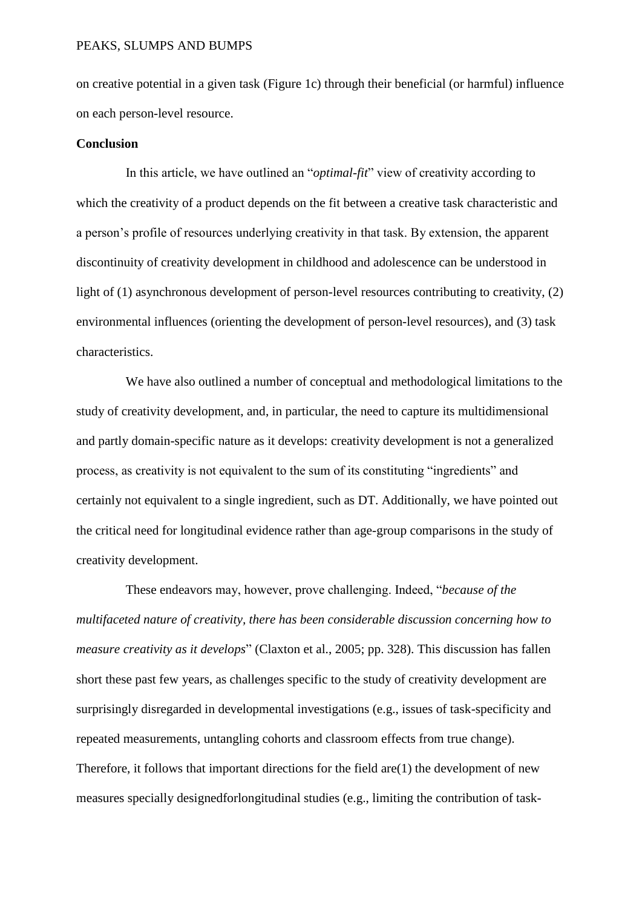on creative potential in a given task (Figure 1c) through their beneficial (or harmful) influence on each person-level resource.

### **Conclusion**

In this article, we have outlined an "*optimal-fit*" view of creativity according to which the creativity of a product depends on the fit between a creative task characteristic and a person's profile of resources underlying creativity in that task. By extension, the apparent discontinuity of creativity development in childhood and adolescence can be understood in light of (1) asynchronous development of person-level resources contributing to creativity, (2) environmental influences (orienting the development of person-level resources), and (3) task characteristics.

We have also outlined a number of conceptual and methodological limitations to the study of creativity development, and, in particular, the need to capture its multidimensional and partly domain-specific nature as it develops: creativity development is not a generalized process, as creativity is not equivalent to the sum of its constituting "ingredients" and certainly not equivalent to a single ingredient, such as DT. Additionally, we have pointed out the critical need for longitudinal evidence rather than age-group comparisons in the study of creativity development.

These endeavors may, however, prove challenging. Indeed, "*because of the multifaceted nature of creativity, there has been considerable discussion concerning how to measure creativity as it develops*" (Claxton et al., 2005; pp. 328). This discussion has fallen short these past few years, as challenges specific to the study of creativity development are surprisingly disregarded in developmental investigations (e.g., issues of task-specificity and repeated measurements, untangling cohorts and classroom effects from true change). Therefore, it follows that important directions for the field  $are(1)$  the development of new measures specially designedforlongitudinal studies (e.g., limiting the contribution of task-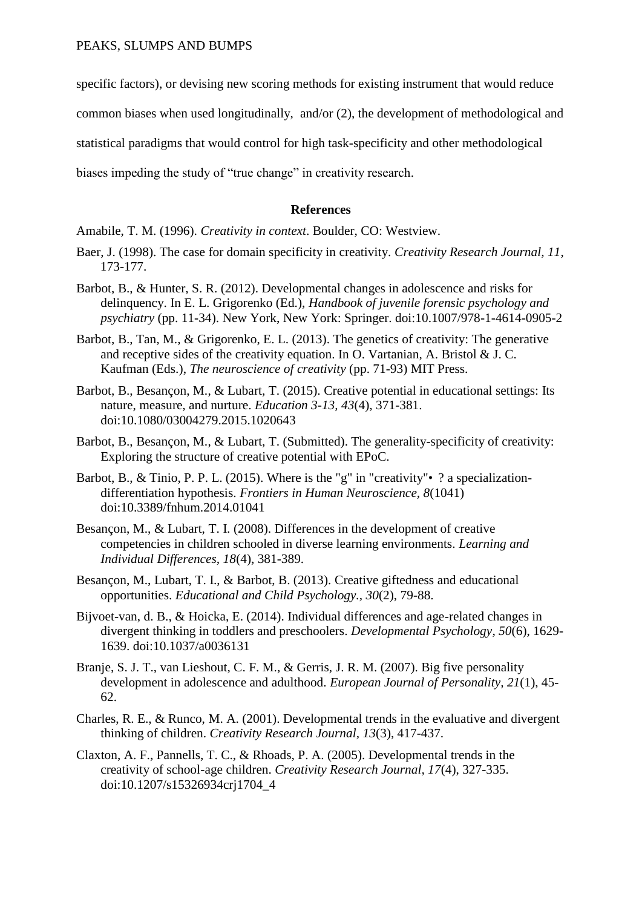specific factors), or devising new scoring methods for existing instrument that would reduce

common biases when used longitudinally, and/or (2), the development of methodological and

statistical paradigms that would control for high task-specificity and other methodological

biases impeding the study of "true change" in creativity research.

# **References**

Amabile, T. M. (1996). *Creativity in context*. Boulder, CO: Westview.

- Baer, J. (1998). The case for domain specificity in creativity. *Creativity Research Journal, 11*, 173-177.
- Barbot, B., & Hunter, S. R. (2012). Developmental changes in adolescence and risks for delinquency. In E. L. Grigorenko (Ed.), *Handbook of juvenile forensic psychology and psychiatry* (pp. 11-34). New York, New York: Springer. doi:10.1007/978-1-4614-0905-2
- Barbot, B., Tan, M., & Grigorenko, E. L. (2013). The genetics of creativity: The generative and receptive sides of the creativity equation. In O. Vartanian, A. Bristol  $\&$  J. C. Kaufman (Eds.), *The neuroscience of creativity* (pp. 71-93) MIT Press.
- Barbot, B., Besançon, M., & Lubart, T. (2015). Creative potential in educational settings: Its nature, measure, and nurture. *Education 3-13, 43*(4), 371-381. doi:10.1080/03004279.2015.1020643
- Barbot, B., Besançon, M., & Lubart, T. (Submitted). The generality-specificity of creativity: Exploring the structure of creative potential with EPoC.
- Barbot, B., & Tinio, P. P. L. (2015). Where is the "g" in "creativity" ? a specializationdifferentiation hypothesis. *Frontiers in Human Neuroscience, 8*(1041) doi:10.3389/fnhum.2014.01041
- Besançon, M., & Lubart, T. I. (2008). Differences in the development of creative competencies in children schooled in diverse learning environments. *Learning and Individual Differences, 18*(4), 381-389.
- Besançon, M., Lubart, T. I., & Barbot, B. (2013). Creative giftedness and educational opportunities. *Educational and Child Psychology., 30*(2), 79-88.
- Bijvoet-van, d. B., & Hoicka, E. (2014). Individual differences and age-related changes in divergent thinking in toddlers and preschoolers. *Developmental Psychology, 50*(6), 1629- 1639. doi:10.1037/a0036131
- Branje, S. J. T., van Lieshout, C. F. M., & Gerris, J. R. M. (2007). Big five personality development in adolescence and adulthood. *European Journal of Personality, 21*(1), 45- 62.
- Charles, R. E., & Runco, M. A. (2001). Developmental trends in the evaluative and divergent thinking of children. *Creativity Research Journal, 13*(3), 417-437.
- Claxton, A. F., Pannells, T. C., & Rhoads, P. A. (2005). Developmental trends in the creativity of school-age children. *Creativity Research Journal, 17*(4), 327-335. doi:10.1207/s15326934crj1704\_4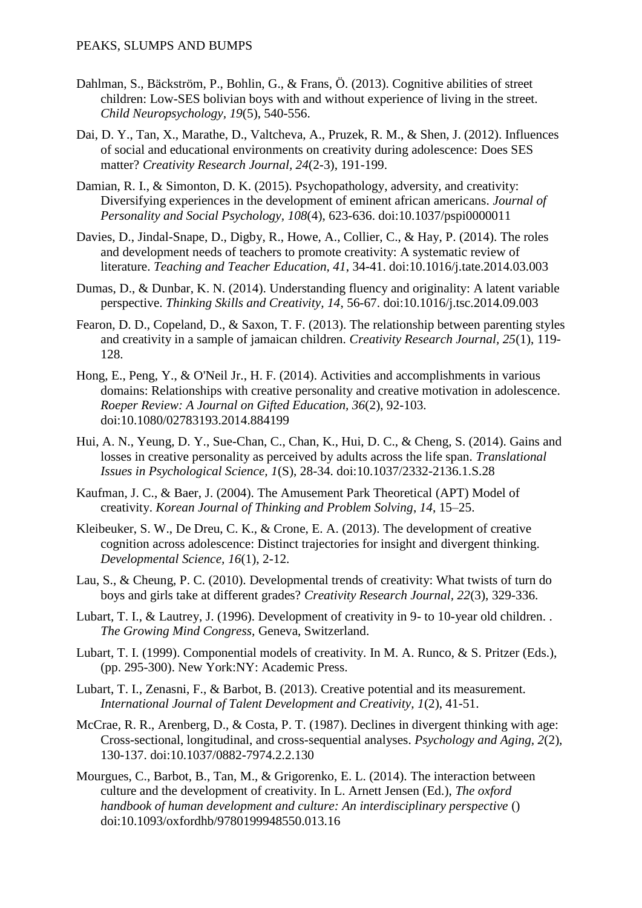- Dahlman, S., Bäckström, P., Bohlin, G., & Frans, Ö. (2013). Cognitive abilities of street children: Low-SES bolivian boys with and without experience of living in the street. *Child Neuropsychology, 19*(5), 540-556.
- Dai, D. Y., Tan, X., Marathe, D., Valtcheva, A., Pruzek, R. M., & Shen, J. (2012). Influences of social and educational environments on creativity during adolescence: Does SES matter? *Creativity Research Journal, 24*(2-3), 191-199.
- Damian, R. I., & Simonton, D. K. (2015). Psychopathology, adversity, and creativity: Diversifying experiences in the development of eminent african americans. *Journal of Personality and Social Psychology, 108*(4), 623-636. doi:10.1037/pspi0000011
- Davies, D., Jindal-Snape, D., Digby, R., Howe, A., Collier, C., & Hay, P. (2014). The roles and development needs of teachers to promote creativity: A systematic review of literature. *Teaching and Teacher Education, 41*, 34-41. doi:10.1016/j.tate.2014.03.003
- Dumas, D., & Dunbar, K. N. (2014). Understanding fluency and originality: A latent variable perspective. *Thinking Skills and Creativity, 14*, 56-67. doi:10.1016/j.tsc.2014.09.003
- Fearon, D. D., Copeland, D., & Saxon, T. F. (2013). The relationship between parenting styles and creativity in a sample of jamaican children. *Creativity Research Journal, 25*(1), 119- 128.
- Hong, E., Peng, Y., & O'Neil Jr., H. F. (2014). Activities and accomplishments in various domains: Relationships with creative personality and creative motivation in adolescence. *Roeper Review: A Journal on Gifted Education, 36*(2), 92-103. doi:10.1080/02783193.2014.884199
- Hui, A. N., Yeung, D. Y., Sue-Chan, C., Chan, K., Hui, D. C., & Cheng, S. (2014). Gains and losses in creative personality as perceived by adults across the life span. *Translational Issues in Psychological Science, 1*(S), 28-34. doi:10.1037/2332-2136.1.S.28
- Kaufman, J. C., & Baer, J. (2004). The Amusement Park Theoretical (APT) Model of creativity. *Korean Journal of Thinking and Problem Solving*, *14*, 15–25.
- Kleibeuker, S. W., De Dreu, C. K., & Crone, E. A. (2013). The development of creative cognition across adolescence: Distinct trajectories for insight and divergent thinking. *Developmental Science, 16*(1), 2-12.
- Lau, S., & Cheung, P. C. (2010). Developmental trends of creativity: What twists of turn do boys and girls take at different grades? *Creativity Research Journal, 22*(3), 329-336.
- Lubart, T. I., & Lautrey, J. (1996). Development of creativity in 9- to 10-year old children. . *The Growing Mind Congress,* Geneva, Switzerland.
- Lubart, T. I. (1999). Componential models of creativity. In M. A. Runco, & S. Pritzer (Eds.), (pp. 295-300). New York:NY: Academic Press.
- Lubart, T. I., Zenasni, F., & Barbot, B. (2013). Creative potential and its measurement. *International Journal of Talent Development and Creativity, 1*(2), 41-51.
- McCrae, R. R., Arenberg, D., & Costa, P. T. (1987). Declines in divergent thinking with age: Cross-sectional, longitudinal, and cross-sequential analyses. *Psychology and Aging, 2*(2), 130-137. doi:10.1037/0882-7974.2.2.130
- Mourgues, C., Barbot, B., Tan, M., & Grigorenko, E. L. (2014). The interaction between culture and the development of creativity. In L. Arnett Jensen (Ed.), *The oxford handbook of human development and culture: An interdisciplinary perspective* () doi:10.1093/oxfordhb/9780199948550.013.16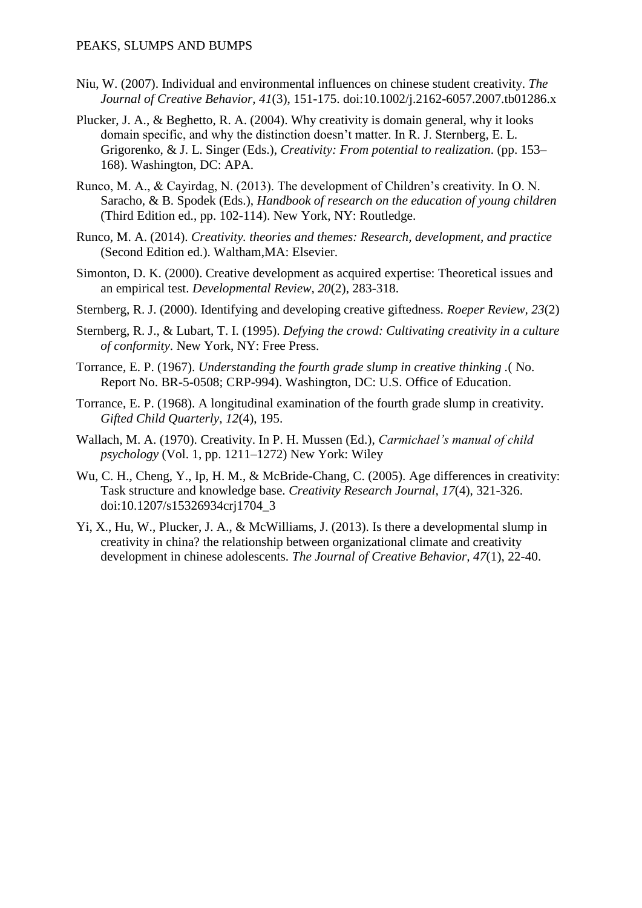- Niu, W. (2007). Individual and environmental influences on chinese student creativity. *The Journal of Creative Behavior, 41*(3), 151-175. doi:10.1002/j.2162-6057.2007.tb01286.x
- Plucker, J. A., & Beghetto, R. A. (2004). Why creativity is domain general, why it looks domain specific, and why the distinction doesn't matter. In R. J. Sternberg, E. L. Grigorenko, & J. L. Singer (Eds.), *Creativity: From potential to realization*. (pp. 153– 168). Washington, DC: APA.
- Runco, M. A., & Cayirdag, N. (2013). The development of Children's creativity. In O. N. Saracho, & B. Spodek (Eds.), *Handbook of research on the education of young children* (Third Edition ed., pp. 102-114). New York, NY: Routledge.
- Runco, M. A. (2014). *Creativity. theories and themes: Research, development, and practice* (Second Edition ed.). Waltham,MA: Elsevier.
- Simonton, D. K. (2000). Creative development as acquired expertise: Theoretical issues and an empirical test. *Developmental Review, 20*(2), 283-318.
- Sternberg, R. J. (2000). Identifying and developing creative giftedness. *Roeper Review, 23*(2)
- Sternberg, R. J., & Lubart, T. I. (1995). *Defying the crowd: Cultivating creativity in a culture of conformity*. New York, NY: Free Press.
- Torrance, E. P. (1967). *Understanding the fourth grade slump in creative thinking .*( No. Report No. BR-5-0508; CRP-994). Washington, DC: U.S. Office of Education.
- Torrance, E. P. (1968). A longitudinal examination of the fourth grade slump in creativity. *Gifted Child Quarterly, 12*(4), 195.
- Wallach, M. A. (1970). Creativity. In P. H. Mussen (Ed.), *Carmichael's manual of child psychology* (Vol. 1, pp. 1211–1272) New York: Wiley
- Wu, C. H., Cheng, Y., Ip, H. M., & McBride-Chang, C. (2005). Age differences in creativity: Task structure and knowledge base. *Creativity Research Journal, 17*(4), 321-326. doi:10.1207/s15326934crj1704\_3
- Yi, X., Hu, W., Plucker, J. A., & McWilliams, J. (2013). Is there a developmental slump in creativity in china? the relationship between organizational climate and creativity development in chinese adolescents. *The Journal of Creative Behavior, 47*(1), 22-40.